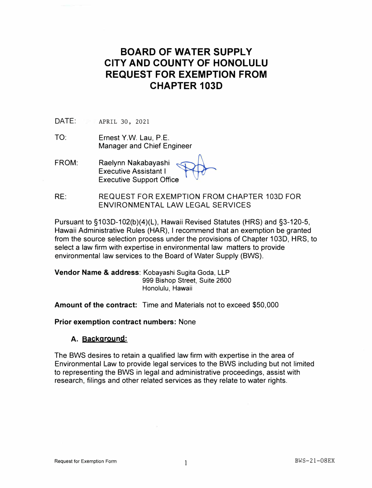# **BOARD OF WATER SUPPLY CITY AND COUNTY OF HONOLULU REQUEST FOR EXEMPTION FROM CHAPTER 103D**

**DATE:** APRIL 30, 2021

- TO: Ernest Y.W. Lau, P.E. Manager and Chief Engineer
- FROM: Raelynn Nakabayashi Executive Assistant I Executive Support Office ... ��
- RE: REQUEST FOR EXEMPTION FROM CHAPTER 103D FOR ENVIRONMENTAL LAW LEGAL SERVICES

Pursuant to §103D-102(b)(4)(L), Hawaii Revised Statutes (HRS) and §3-120-5, Hawaii Administrative Rules (HAR), I recommend that an exemption be granted from the source selection process under the provisions of Chapter 103D, HRS, to select a law firm with expertise in environmental law matters to provide environmental law services to the Board of Water Supply (BWS).

**Vendor Name & address:** Kobayashi Sugita Goda, LLP 999 Bishop Street, Suite 2600 Honolulu, Hawaii

**Amount of the contract:** Time and Materials not to exceed \$50,000

**Prior exemption contract numbers:** None

## **A. Background:**

The BWS desires to retain a qualified law firm with expertise in the area of Environmental Law to provide legal services to the BWS including but not limited to representing the BWS in legal and administrative proceedings, assist with research, filings and other related services as they relate to water rights.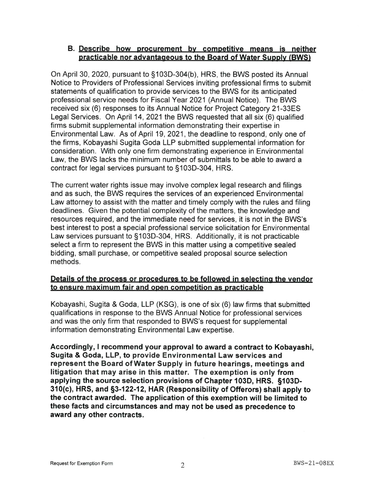## B. Describe how procurement by competitive means is neither practicable nor advantageous to the Board of Water Supply (BWS)

On April 30, 2020, pursuant to §103D-304(b), HRS, the BWS posted its Annual Notice to Providers of Professional Services inviting professional firms to submit statements of qualification to provide services to the BWS for its anticipated professional service needs for Fiscal Year 2021 (Annual Notice). The BWS received six (6) responses to its Annual Notice for Project Category 21-33ES Legal Services. On April 14, 2021 the BWS requested that all six (6) qualified firms submit supplemental information demonstrating their expertise in Environmental Law. As of April 19, 2021, the deadline to respond, only one of the firms. Kobavashi Sugita Goda LLP submitted supplemental information for consideration. With only one firm demonstrating experience in Environmental Law, the BWS lacks the minimum number of submittals to be able to award a contract for legal services pursuant to §103D-304, HRS.

The current water rights issue may involve complex legal research and filings and as such, the BWS requires the services of an experienced Environmental Law attorney to assist with the matter and timely comply with the rules and filing deadlines. Given the potential complexity of the matters, the knowledge and resources required, and the immediate need for services, it is not in the BWS's best interest to post a special professional service solicitation for Environmental Law services pursuant to §103D-304, HRS. Additionally, it is not practicable select a firm to represent the BWS in this matter using a competitive sealed bidding, small purchase, or competitive sealed proposal source selection methods.

## Details of the process or procedures to be followed in selecting the vendor to ensure maximum fair and open competition as practicable

Kobayashi, Sugita & Goda, LLP (KSG), is one of six (6) law firms that submitted qualifications in response to the BWS Annual Notice for professional services and was the only firm that responded to BWS's request for supplemental information demonstrating Environmental Law expertise.

Accordingly, I recommend your approval to award a contract to Kobayashi. Sugita & Goda, LLP, to provide Environmental Law services and represent the Board of Water Supply in future hearings, meetings and litigation that may arise in this matter. The exemption is only from applying the source selection provisions of Chapter 103D, HRS. §103D-310(c), HRS, and §3-122-12, HAR (Responsibility of Offerors) shall apply to the contract awarded. The application of this exemption will be limited to these facts and circumstances and may not be used as precedence to award any other contracts.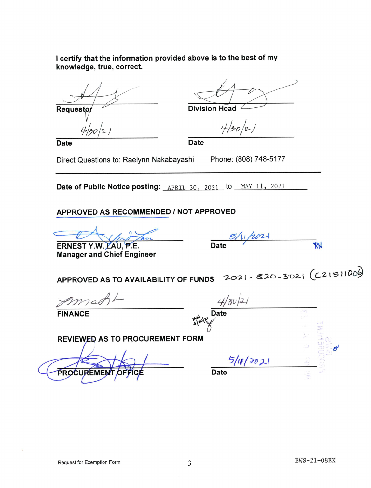I certify that the information provided above is to the best of my knowledge, true, correct.

Requesto

 $30/2$ 

**Division Head** 

**Date** 

 $4/30/2/$ 

**Date** 

Direct Questions to: Raelynn Nakabayashi

Phone: (808) 748-5177

Date of Public Notice posting: APRIL 30, 2021 to MAY 11, 2021

## APPROVED AS RECOMMENDED / NOT APPROVED

ERNEST Y.W. LAU, P.E. **Manager and Chief Engineer** 

|      | 5/11/202 |  |
|------|----------|--|
| Date |          |  |

APPROVED AS TO AVAILABILITY OF FUNDS 2021-820-3021 (C21511000)

**FINANCE** 

PROCU

 $4/30/21$ 



**REVIEWED AS TO PROCUREMENT FORM**